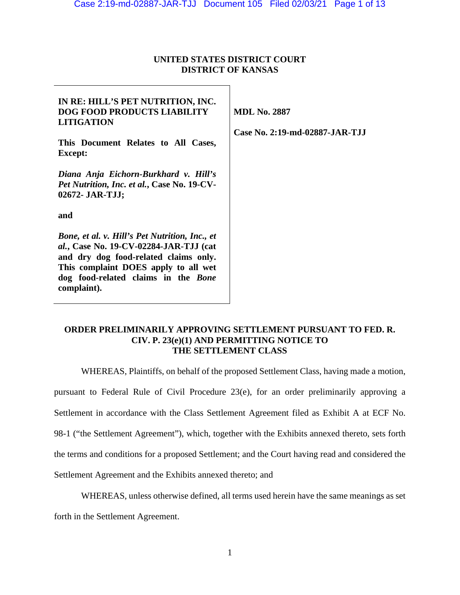## **UNITED STATES DISTRICT COURT DISTRICT OF KANSAS**

# **IN RE: HILL'S PET NUTRITION, INC. DOG FOOD PRODUCTS LIABILITY LITIGATION This Document Relates to All Cases, Except:**  *Diana Anja Eichorn-Burkhard v. Hill's Pet Nutrition, Inc. et al.***, Case No. 19-CV-02672- JAR-TJJ; and**  *Bone, et al. v. Hill's Pet Nutrition, Inc., et al.***, Case No. 19-CV-02284-JAR-TJJ (cat and dry dog food-related claims only. This complaint DOES apply to all wet dog food-related claims in the** *Bone*  **complaint). MDL No. 2887 Case No. 2:19-md-02887-JAR-TJJ**

## **ORDER PRELIMINARILY APPROVING SETTLEMENT PURSUANT TO FED. R. CIV. P. 23(e)(1) AND PERMITTING NOTICE TO THE SETTLEMENT CLASS**

WHEREAS, Plaintiffs, on behalf of the proposed Settlement Class, having made a motion,

pursuant to Federal Rule of Civil Procedure 23(e), for an order preliminarily approving a

Settlement in accordance with the Class Settlement Agreement filed as Exhibit A at ECF No.

98-1 ("the Settlement Agreement"), which, together with the Exhibits annexed thereto, sets forth

the terms and conditions for a proposed Settlement; and the Court having read and considered the

Settlement Agreement and the Exhibits annexed thereto; and

WHEREAS, unless otherwise defined, all terms used herein have the same meanings as set

forth in the Settlement Agreement.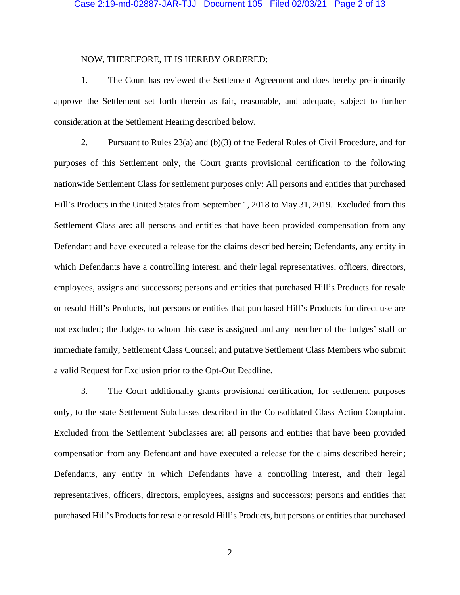#### Case 2:19-md-02887-JAR-TJJ Document 105 Filed 02/03/21 Page 2 of 13

### NOW, THEREFORE, IT IS HEREBY ORDERED:

1. The Court has reviewed the Settlement Agreement and does hereby preliminarily approve the Settlement set forth therein as fair, reasonable, and adequate, subject to further consideration at the Settlement Hearing described below.

2. Pursuant to Rules 23(a) and (b)(3) of the Federal Rules of Civil Procedure, and for purposes of this Settlement only, the Court grants provisional certification to the following nationwide Settlement Class for settlement purposes only: All persons and entities that purchased Hill's Products in the United States from September 1, 2018 to May 31, 2019. Excluded from this Settlement Class are: all persons and entities that have been provided compensation from any Defendant and have executed a release for the claims described herein; Defendants, any entity in which Defendants have a controlling interest, and their legal representatives, officers, directors, employees, assigns and successors; persons and entities that purchased Hill's Products for resale or resold Hill's Products, but persons or entities that purchased Hill's Products for direct use are not excluded; the Judges to whom this case is assigned and any member of the Judges' staff or immediate family; Settlement Class Counsel; and putative Settlement Class Members who submit a valid Request for Exclusion prior to the Opt-Out Deadline.

3. The Court additionally grants provisional certification, for settlement purposes only, to the state Settlement Subclasses described in the Consolidated Class Action Complaint. Excluded from the Settlement Subclasses are: all persons and entities that have been provided compensation from any Defendant and have executed a release for the claims described herein; Defendants, any entity in which Defendants have a controlling interest, and their legal representatives, officers, directors, employees, assigns and successors; persons and entities that purchased Hill's Products for resale or resold Hill's Products, but persons or entities that purchased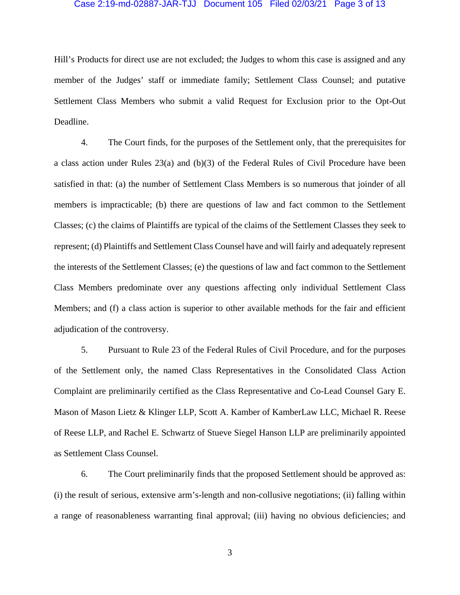#### Case 2:19-md-02887-JAR-TJJ Document 105 Filed 02/03/21 Page 3 of 13

Hill's Products for direct use are not excluded; the Judges to whom this case is assigned and any member of the Judges' staff or immediate family; Settlement Class Counsel; and putative Settlement Class Members who submit a valid Request for Exclusion prior to the Opt-Out Deadline.

4. The Court finds, for the purposes of the Settlement only, that the prerequisites for a class action under Rules 23(a) and (b)(3) of the Federal Rules of Civil Procedure have been satisfied in that: (a) the number of Settlement Class Members is so numerous that joinder of all members is impracticable; (b) there are questions of law and fact common to the Settlement Classes; (c) the claims of Plaintiffs are typical of the claims of the Settlement Classes they seek to represent; (d) Plaintiffs and Settlement Class Counsel have and will fairly and adequately represent the interests of the Settlement Classes; (e) the questions of law and fact common to the Settlement Class Members predominate over any questions affecting only individual Settlement Class Members; and (f) a class action is superior to other available methods for the fair and efficient adjudication of the controversy.

5. Pursuant to Rule 23 of the Federal Rules of Civil Procedure, and for the purposes of the Settlement only, the named Class Representatives in the Consolidated Class Action Complaint are preliminarily certified as the Class Representative and Co-Lead Counsel Gary E. Mason of Mason Lietz & Klinger LLP, Scott A. Kamber of KamberLaw LLC, Michael R. Reese of Reese LLP, and Rachel E. Schwartz of Stueve Siegel Hanson LLP are preliminarily appointed as Settlement Class Counsel.

6. The Court preliminarily finds that the proposed Settlement should be approved as: (i) the result of serious, extensive arm's-length and non-collusive negotiations; (ii) falling within a range of reasonableness warranting final approval; (iii) having no obvious deficiencies; and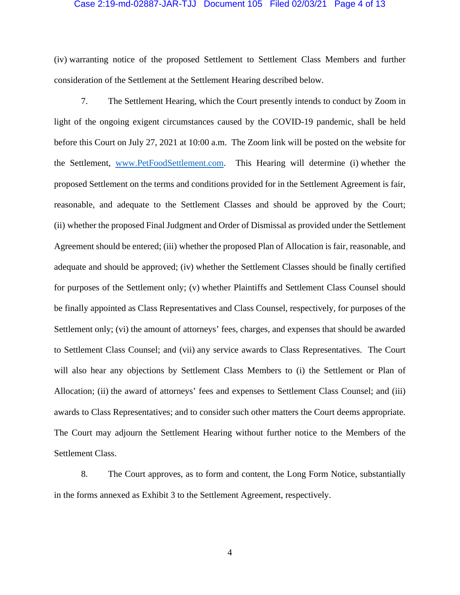#### Case 2:19-md-02887-JAR-TJJ Document 105 Filed 02/03/21 Page 4 of 13

(iv) warranting notice of the proposed Settlement to Settlement Class Members and further consideration of the Settlement at the Settlement Hearing described below.

7. The Settlement Hearing, which the Court presently intends to conduct by Zoom in light of the ongoing exigent circumstances caused by the COVID-19 pandemic, shall be held before this Court on July 27, 2021 at 10:00 a.m. The Zoom link will be posted on the website for the Settlement, www.PetFoodSettlement.com. This Hearing will determine (i) whether the proposed Settlement on the terms and conditions provided for in the Settlement Agreement is fair, reasonable, and adequate to the Settlement Classes and should be approved by the Court; (ii) whether the proposed Final Judgment and Order of Dismissal as provided under the Settlement Agreement should be entered; (iii) whether the proposed Plan of Allocation is fair, reasonable, and adequate and should be approved; (iv) whether the Settlement Classes should be finally certified for purposes of the Settlement only; (v) whether Plaintiffs and Settlement Class Counsel should be finally appointed as Class Representatives and Class Counsel, respectively, for purposes of the Settlement only; (vi) the amount of attorneys' fees, charges, and expenses that should be awarded to Settlement Class Counsel; and (vii) any service awards to Class Representatives. The Court will also hear any objections by Settlement Class Members to (i) the Settlement or Plan of Allocation; (ii) the award of attorneys' fees and expenses to Settlement Class Counsel; and (iii) awards to Class Representatives; and to consider such other matters the Court deems appropriate. The Court may adjourn the Settlement Hearing without further notice to the Members of the Settlement Class.

8. The Court approves, as to form and content, the Long Form Notice, substantially in the forms annexed as Exhibit 3 to the Settlement Agreement, respectively.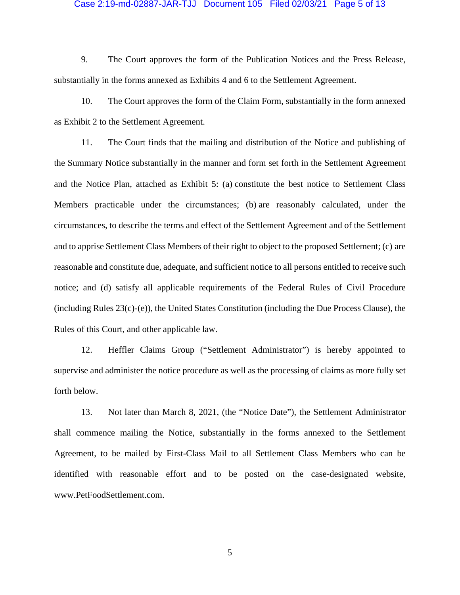#### Case 2:19-md-02887-JAR-TJJ Document 105 Filed 02/03/21 Page 5 of 13

9. The Court approves the form of the Publication Notices and the Press Release, substantially in the forms annexed as Exhibits 4 and 6 to the Settlement Agreement.

10. The Court approves the form of the Claim Form, substantially in the form annexed as Exhibit 2 to the Settlement Agreement.

11. The Court finds that the mailing and distribution of the Notice and publishing of the Summary Notice substantially in the manner and form set forth in the Settlement Agreement and the Notice Plan, attached as Exhibit 5: (a) constitute the best notice to Settlement Class Members practicable under the circumstances; (b) are reasonably calculated, under the circumstances, to describe the terms and effect of the Settlement Agreement and of the Settlement and to apprise Settlement Class Members of their right to object to the proposed Settlement; (c) are reasonable and constitute due, adequate, and sufficient notice to all persons entitled to receive such notice; and (d) satisfy all applicable requirements of the Federal Rules of Civil Procedure (including Rules 23(c)-(e)), the United States Constitution (including the Due Process Clause), the Rules of this Court, and other applicable law.

12. Heffler Claims Group ("Settlement Administrator") is hereby appointed to supervise and administer the notice procedure as well as the processing of claims as more fully set forth below.

13. Not later than March 8, 2021, (the "Notice Date"), the Settlement Administrator shall commence mailing the Notice, substantially in the forms annexed to the Settlement Agreement, to be mailed by First-Class Mail to all Settlement Class Members who can be identified with reasonable effort and to be posted on the case-designated website, www.PetFoodSettlement.com.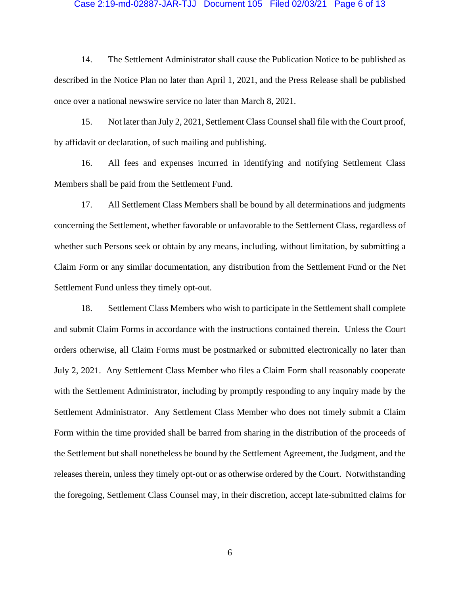#### Case 2:19-md-02887-JAR-TJJ Document 105 Filed 02/03/21 Page 6 of 13

14. The Settlement Administrator shall cause the Publication Notice to be published as described in the Notice Plan no later than April 1, 2021, and the Press Release shall be published once over a national newswire service no later than March 8, 2021.

15. Not later than July 2, 2021, Settlement Class Counsel shall file with the Court proof, by affidavit or declaration, of such mailing and publishing.

16. All fees and expenses incurred in identifying and notifying Settlement Class Members shall be paid from the Settlement Fund.

17. All Settlement Class Members shall be bound by all determinations and judgments concerning the Settlement, whether favorable or unfavorable to the Settlement Class, regardless of whether such Persons seek or obtain by any means, including, without limitation, by submitting a Claim Form or any similar documentation, any distribution from the Settlement Fund or the Net Settlement Fund unless they timely opt-out.

18. Settlement Class Members who wish to participate in the Settlement shall complete and submit Claim Forms in accordance with the instructions contained therein. Unless the Court orders otherwise, all Claim Forms must be postmarked or submitted electronically no later than July 2, 2021. Any Settlement Class Member who files a Claim Form shall reasonably cooperate with the Settlement Administrator, including by promptly responding to any inquiry made by the Settlement Administrator. Any Settlement Class Member who does not timely submit a Claim Form within the time provided shall be barred from sharing in the distribution of the proceeds of the Settlement but shall nonetheless be bound by the Settlement Agreement, the Judgment, and the releases therein, unless they timely opt-out or as otherwise ordered by the Court. Notwithstanding the foregoing, Settlement Class Counsel may, in their discretion, accept late-submitted claims for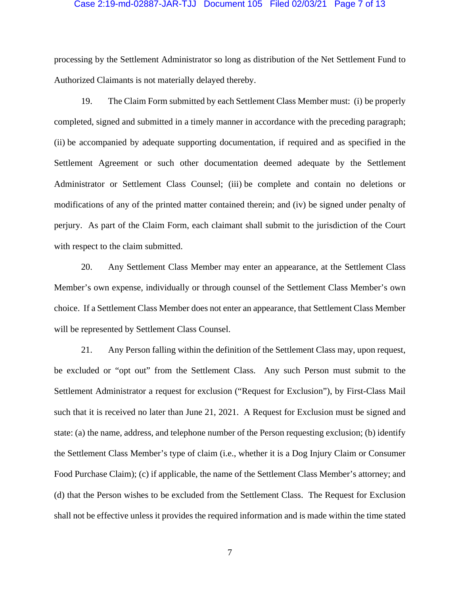#### Case 2:19-md-02887-JAR-TJJ Document 105 Filed 02/03/21 Page 7 of 13

processing by the Settlement Administrator so long as distribution of the Net Settlement Fund to Authorized Claimants is not materially delayed thereby.

19. The Claim Form submitted by each Settlement Class Member must: (i) be properly completed, signed and submitted in a timely manner in accordance with the preceding paragraph; (ii) be accompanied by adequate supporting documentation, if required and as specified in the Settlement Agreement or such other documentation deemed adequate by the Settlement Administrator or Settlement Class Counsel; (iii) be complete and contain no deletions or modifications of any of the printed matter contained therein; and (iv) be signed under penalty of perjury. As part of the Claim Form, each claimant shall submit to the jurisdiction of the Court with respect to the claim submitted.

20. Any Settlement Class Member may enter an appearance, at the Settlement Class Member's own expense, individually or through counsel of the Settlement Class Member's own choice. If a Settlement Class Member does not enter an appearance, that Settlement Class Member will be represented by Settlement Class Counsel.

21. Any Person falling within the definition of the Settlement Class may, upon request, be excluded or "opt out" from the Settlement Class. Any such Person must submit to the Settlement Administrator a request for exclusion ("Request for Exclusion"), by First-Class Mail such that it is received no later than June 21, 2021. A Request for Exclusion must be signed and state: (a) the name, address, and telephone number of the Person requesting exclusion; (b) identify the Settlement Class Member's type of claim (i.e., whether it is a Dog Injury Claim or Consumer Food Purchase Claim); (c) if applicable, the name of the Settlement Class Member's attorney; and (d) that the Person wishes to be excluded from the Settlement Class. The Request for Exclusion shall not be effective unless it provides the required information and is made within the time stated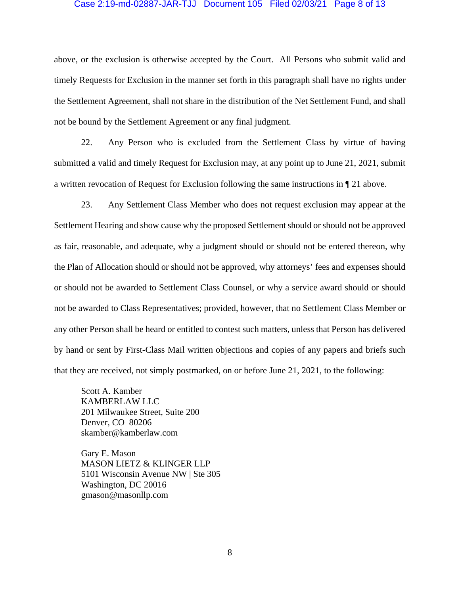#### Case 2:19-md-02887-JAR-TJJ Document 105 Filed 02/03/21 Page 8 of 13

above, or the exclusion is otherwise accepted by the Court. All Persons who submit valid and timely Requests for Exclusion in the manner set forth in this paragraph shall have no rights under the Settlement Agreement, shall not share in the distribution of the Net Settlement Fund, and shall not be bound by the Settlement Agreement or any final judgment.

22. Any Person who is excluded from the Settlement Class by virtue of having submitted a valid and timely Request for Exclusion may, at any point up to June 21, 2021, submit a written revocation of Request for Exclusion following the same instructions in ¶ 21 above.

23. Any Settlement Class Member who does not request exclusion may appear at the Settlement Hearing and show cause why the proposed Settlement should or should not be approved as fair, reasonable, and adequate, why a judgment should or should not be entered thereon, why the Plan of Allocation should or should not be approved, why attorneys' fees and expenses should or should not be awarded to Settlement Class Counsel, or why a service award should or should not be awarded to Class Representatives; provided, however, that no Settlement Class Member or any other Person shall be heard or entitled to contest such matters, unless that Person has delivered by hand or sent by First-Class Mail written objections and copies of any papers and briefs such that they are received, not simply postmarked, on or before June 21, 2021, to the following:

Scott A. Kamber KAMBERLAW LLC 201 Milwaukee Street, Suite 200 Denver, CO 80206 skamber@kamberlaw.com

Gary E. Mason MASON LIETZ & KLINGER LLP 5101 Wisconsin Avenue NW | Ste 305 Washington, DC 20016 gmason@masonllp.com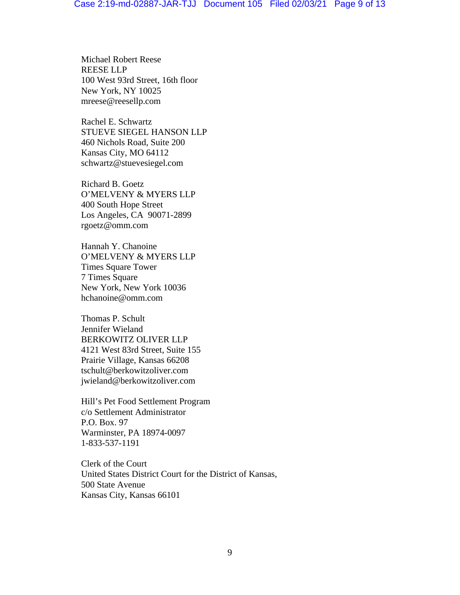Michael Robert Reese REESE LLP 100 West 93rd Street, 16th floor New York, NY 10025 mreese@reesellp.com

Rachel E. Schwartz STUEVE SIEGEL HANSON LLP 460 Nichols Road, Suite 200 Kansas City, MO 64112 schwartz@stuevesiegel.com

Richard B. Goetz O'MELVENY & MYERS LLP 400 South Hope Street Los Angeles, CA 90071-2899 rgoetz@omm.com

Hannah Y. Chanoine O'MELVENY & MYERS LLP Times Square Tower 7 Times Square New York, New York 10036 hchanoine@omm.com

Thomas P. Schult Jennifer Wieland BERKOWITZ OLIVER LLP 4121 West 83rd Street, Suite 155 Prairie Village, Kansas 66208 tschult@berkowitzoliver.com jwieland@berkowitzoliver.com

Hill's Pet Food Settlement Program c/o Settlement Administrator P.O. Box. 97 Warminster, PA 18974-0097 1-833-537-1191

Clerk of the Court United States District Court for the District of Kansas, 500 State Avenue Kansas City, Kansas 66101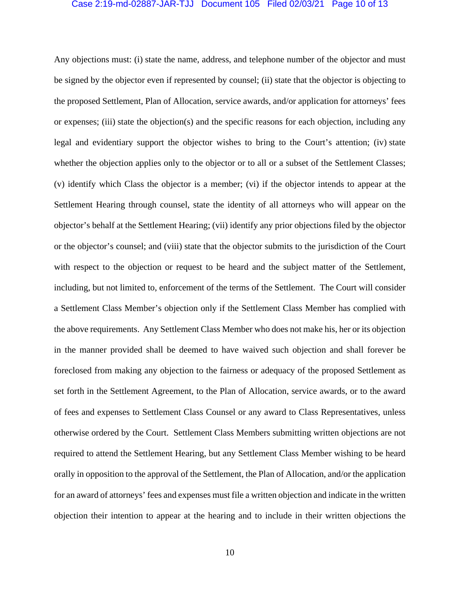#### Case 2:19-md-02887-JAR-TJJ Document 105 Filed 02/03/21 Page 10 of 13

Any objections must: (i) state the name, address, and telephone number of the objector and must be signed by the objector even if represented by counsel; (ii) state that the objector is objecting to the proposed Settlement, Plan of Allocation, service awards, and/or application for attorneys' fees or expenses; (iii) state the objection(s) and the specific reasons for each objection, including any legal and evidentiary support the objector wishes to bring to the Court's attention; (iv) state whether the objection applies only to the objector or to all or a subset of the Settlement Classes; (v) identify which Class the objector is a member; (vi) if the objector intends to appear at the Settlement Hearing through counsel, state the identity of all attorneys who will appear on the objector's behalf at the Settlement Hearing; (vii) identify any prior objections filed by the objector or the objector's counsel; and (viii) state that the objector submits to the jurisdiction of the Court with respect to the objection or request to be heard and the subject matter of the Settlement, including, but not limited to, enforcement of the terms of the Settlement. The Court will consider a Settlement Class Member's objection only if the Settlement Class Member has complied with the above requirements. Any Settlement Class Member who does not make his, her or its objection in the manner provided shall be deemed to have waived such objection and shall forever be foreclosed from making any objection to the fairness or adequacy of the proposed Settlement as set forth in the Settlement Agreement, to the Plan of Allocation, service awards, or to the award of fees and expenses to Settlement Class Counsel or any award to Class Representatives, unless otherwise ordered by the Court. Settlement Class Members submitting written objections are not required to attend the Settlement Hearing, but any Settlement Class Member wishing to be heard orally in opposition to the approval of the Settlement, the Plan of Allocation, and/or the application for an award of attorneys' fees and expenses must file a written objection and indicate in the written objection their intention to appear at the hearing and to include in their written objections the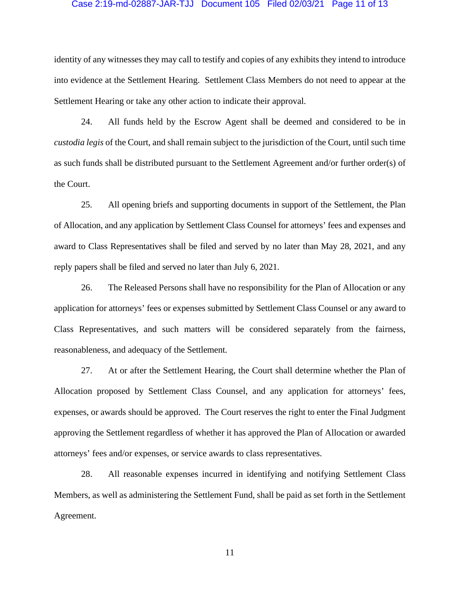#### Case 2:19-md-02887-JAR-TJJ Document 105 Filed 02/03/21 Page 11 of 13

identity of any witnesses they may call to testify and copies of any exhibits they intend to introduce into evidence at the Settlement Hearing. Settlement Class Members do not need to appear at the Settlement Hearing or take any other action to indicate their approval.

24. All funds held by the Escrow Agent shall be deemed and considered to be in *custodia legis* of the Court, and shall remain subject to the jurisdiction of the Court, until such time as such funds shall be distributed pursuant to the Settlement Agreement and/or further order(s) of the Court.

25. All opening briefs and supporting documents in support of the Settlement, the Plan of Allocation, and any application by Settlement Class Counsel for attorneys' fees and expenses and award to Class Representatives shall be filed and served by no later than May 28, 2021, and any reply papers shall be filed and served no later than July 6, 2021.

26. The Released Persons shall have no responsibility for the Plan of Allocation or any application for attorneys' fees or expenses submitted by Settlement Class Counsel or any award to Class Representatives, and such matters will be considered separately from the fairness, reasonableness, and adequacy of the Settlement.

27. At or after the Settlement Hearing, the Court shall determine whether the Plan of Allocation proposed by Settlement Class Counsel, and any application for attorneys' fees, expenses, or awards should be approved. The Court reserves the right to enter the Final Judgment approving the Settlement regardless of whether it has approved the Plan of Allocation or awarded attorneys' fees and/or expenses, or service awards to class representatives.

28. All reasonable expenses incurred in identifying and notifying Settlement Class Members, as well as administering the Settlement Fund, shall be paid as set forth in the Settlement Agreement.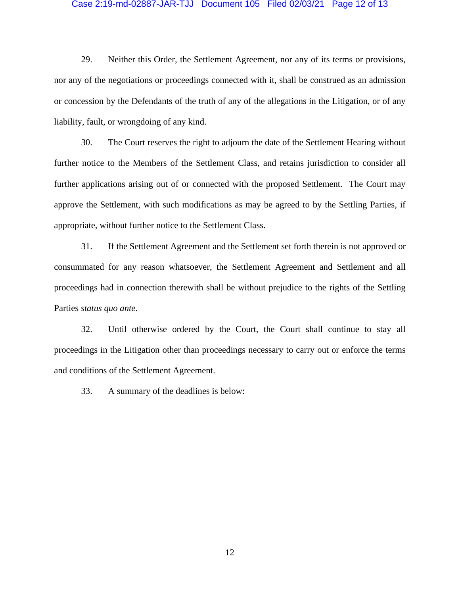#### Case 2:19-md-02887-JAR-TJJ Document 105 Filed 02/03/21 Page 12 of 13

29. Neither this Order, the Settlement Agreement, nor any of its terms or provisions, nor any of the negotiations or proceedings connected with it, shall be construed as an admission or concession by the Defendants of the truth of any of the allegations in the Litigation, or of any liability, fault, or wrongdoing of any kind.

30. The Court reserves the right to adjourn the date of the Settlement Hearing without further notice to the Members of the Settlement Class, and retains jurisdiction to consider all further applications arising out of or connected with the proposed Settlement. The Court may approve the Settlement, with such modifications as may be agreed to by the Settling Parties, if appropriate, without further notice to the Settlement Class.

31. If the Settlement Agreement and the Settlement set forth therein is not approved or consummated for any reason whatsoever, the Settlement Agreement and Settlement and all proceedings had in connection therewith shall be without prejudice to the rights of the Settling Parties *status quo ante*.

32. Until otherwise ordered by the Court, the Court shall continue to stay all proceedings in the Litigation other than proceedings necessary to carry out or enforce the terms and conditions of the Settlement Agreement.

33. A summary of the deadlines is below: